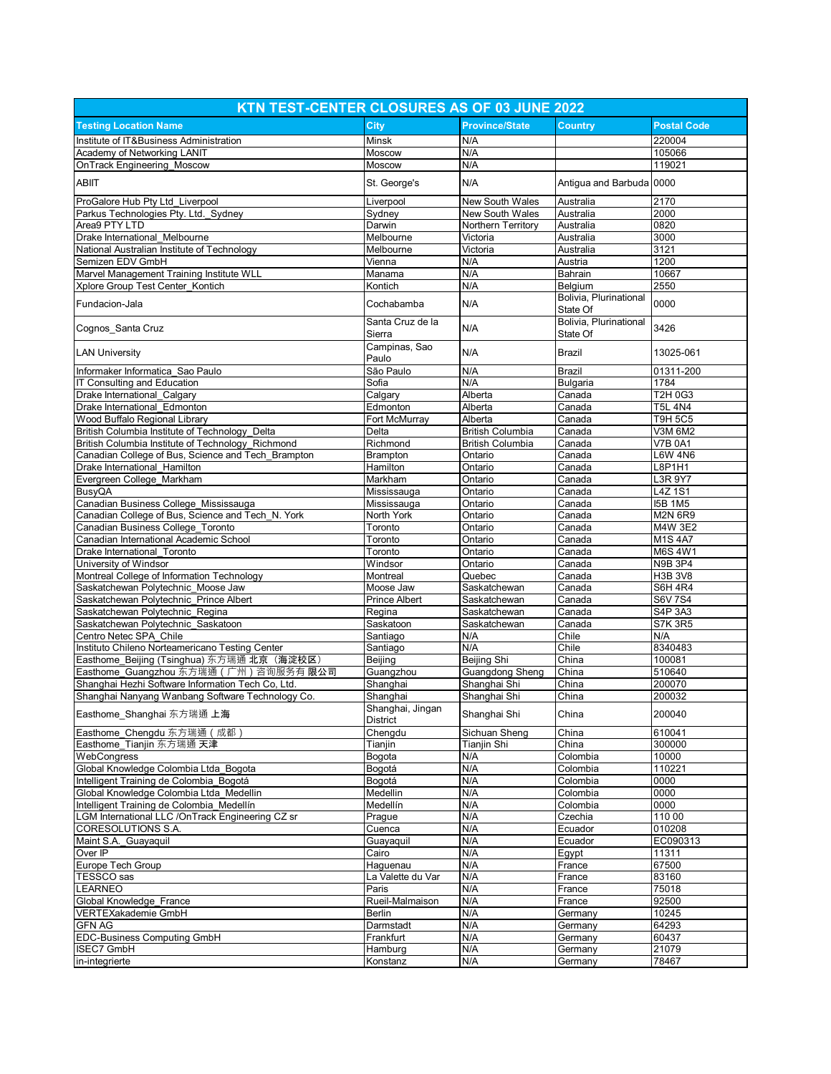| KTN TEST-CENTER CLOSURES AS OF 03 JUNE 2022                                   |                              |                              |                                    |                           |  |
|-------------------------------------------------------------------------------|------------------------------|------------------------------|------------------------------------|---------------------------|--|
| <b>Testing Location Name</b>                                                  | <b>City</b>                  | <b>Province/State</b>        | <b>Country</b>                     | <b>Postal Code</b>        |  |
| Institute of IT&Business Administration                                       | Minsk                        | N/A                          |                                    | 220004                    |  |
| Academy of Networking LANIT                                                   | Moscow                       | N/A                          |                                    | 105066                    |  |
| <b>OnTrack Engineering Moscow</b>                                             | Moscow                       | N/A                          |                                    | 119021                    |  |
| <b>ABIIT</b>                                                                  | St. George's                 | N/A                          | Antiqua and Barbuda 0000           |                           |  |
| ProGalore Hub Pty Ltd_Liverpool                                               | Liverpool                    | New South Wales              | Australia                          | 2170                      |  |
| Parkus Technologies Pty. Ltd. Sydney                                          | Sydney                       | New South Wales              | Australia                          | 2000                      |  |
| Area9 PTY LTD                                                                 | Darwin                       | Northern Territory           | Australia                          | 0820                      |  |
| Drake International Melbourne                                                 | Melbourne                    | Victoria                     | Australia                          | 3000                      |  |
| National Australian Institute of Technology                                   | Melbourne                    | Victoria                     | Australia                          | 3121                      |  |
| Semizen EDV GmbH                                                              | Vienna                       | N/A                          | Austria                            | 1200                      |  |
| Marvel Management Training Institute WLL                                      | Manama                       | N/A                          | Bahrain                            | 10667                     |  |
| Xplore Group Test Center Kontich                                              | Kontich                      | N/A                          | Belgium                            | 2550                      |  |
| Fundacion-Jala                                                                | Cochabamba                   | N/A                          | Bolivia, Plurinational<br>State Of | 0000                      |  |
| Cognos_Santa Cruz                                                             | Santa Cruz de la<br>Sierra   | N/A                          | Bolivia, Plurinational<br>State Of | 3426                      |  |
| <b>LAN University</b>                                                         | Campinas, Sao<br>Paulo       | N/A                          | Brazil                             | 13025-061                 |  |
| Informaker Informatica Sao Paulo                                              | São Paulo                    | N/A                          | Brazil                             | 01311-200                 |  |
| IT Consulting and Education                                                   | Sofia                        | N/A                          | <b>Bulgaria</b>                    | 1784                      |  |
| Drake International Calgary                                                   | Calgary                      | Alberta                      | Canada                             | T2H 0G3                   |  |
| Drake International Edmonton                                                  | Edmonton                     | Alberta                      | Canada                             | <b>T5L 4N4</b>            |  |
| Wood Buffalo Regional Library                                                 | Fort McMurray                | Alberta                      | Canada                             | <b>T9H 5C5</b>            |  |
| British Columbia Institute of Technology_Delta                                | Delta                        | <b>British Columbia</b>      | Canada                             | V3M 6M2                   |  |
| British Columbia Institute of Technology Richmond                             | Richmond                     | <b>British Columbia</b>      | Canada                             | <b>V7B 0A1</b>            |  |
| Canadian College of Bus, Science and Tech Brampton                            | <b>Brampton</b>              | Ontario                      | Canada                             | <b>L6W 4N6</b>            |  |
| Drake International Hamilton                                                  | Hamilton                     | Ontario                      | Canada                             | L8P1H1                    |  |
| Evergreen College Markham                                                     | Markham                      | Ontario                      | Canada                             | L3R 9Y7                   |  |
| <b>BusyQA</b>                                                                 | Mississauga                  | Ontario                      | Canada                             | $L4Z$ 1S1                 |  |
| Canadian Business College Mississauga                                         | Mississauga                  | Ontario                      | Canada                             | <b>I5B 1M5</b>            |  |
| Canadian College of Bus, Science and Tech N. York                             | North York                   | Ontario                      | Canada                             | <b>M2N 6R9</b>            |  |
| Canadian Business College Toronto                                             | Toronto                      | Ontario                      | Canada                             | M4W 3E2                   |  |
| Canadian International Academic School                                        | Toronto                      | Ontario                      | Canada                             | M1S 4A7                   |  |
| Drake International Toronto                                                   | Toronto                      | Ontario                      | Canada                             | M6S 4W1                   |  |
| University of Windsor                                                         | Windsor                      | Ontario                      | Canada                             | <b>N9B 3P4</b>            |  |
| Montreal College of Information Technology                                    | Montreal                     | Quebec                       | Canada                             | H3B 3V8                   |  |
| Saskatchewan Polytechnic Moose Jaw                                            | Moose Jaw                    | Saskatchewan                 | Canada                             | <b>S6H 4R4</b>            |  |
| Saskatchewan Polytechnic Prince Albert                                        | <b>Prince Albert</b>         | Saskatchewan                 | Canada                             | <b>S6V7S4</b>             |  |
| Saskatchewan Polytechnic Regina                                               | Regina<br>Saskatoon          | Saskatchewan<br>Saskatchewan | Canada                             | S4P 3A3<br><b>S7K 3R5</b> |  |
|                                                                               |                              |                              | Canada                             |                           |  |
| Saskatchewan Polytechnic Saskatoon                                            |                              |                              |                                    |                           |  |
| Centro Netec SPA Chile                                                        | Santiago                     | N/A                          | Chile                              | N/A                       |  |
| Instituto Chileno Norteamericano Testing Center                               | Santiago                     | N/A                          | Chile                              | 8340483                   |  |
| Easthome Beijing (Tsinghua) 东方瑞通 北京 (海淀校区)                                    | Beijing                      | Beijing Shi                  | China                              | 100081                    |  |
| Easthome_Guangzhou 东方瑞通 (广州) 咨询服务有 限公司                                        | Guangzhou                    | <b>Guangdong Sheng</b>       | China                              | 510640                    |  |
| Shanghai Hezhi Software Information Tech Co, Ltd.                             | Shanghai                     | Shanghai Shi                 | China                              | 200070                    |  |
| Shanghai Nanyang Wanbang Software Technology Co.<br>Easthome_Shanghai 东方瑞通 上海 | Shanghai<br>Shanghai, Jingan | Shanghai Shi<br>Shanghai Shi | China<br>China                     | 200032<br>200040          |  |
|                                                                               | District                     |                              |                                    |                           |  |
| Easthome Chengdu 东方瑞通 (成都)                                                    | Chengdu                      | Sichuan Sheng                | China                              | 610041                    |  |
| Easthome Tianjin 东方瑞通 天津                                                      | Tianjin                      | Tianjin Shi                  | China                              | 300000                    |  |
| WebCongress                                                                   | Bogota                       | N/A                          | Colombia                           | 10000                     |  |
| Global Knowledge Colombia Ltda Bogota                                         | Bogotá                       | N/A                          | Colombia                           | 110221                    |  |
| Intelligent Training de Colombia_Bogotá                                       | Bogotá                       | N/A                          | Colombia                           | 0000                      |  |
| Global Knowledge Colombia Ltda Medellin                                       | Medellin<br>Medellín         | N/A                          | Colombia                           | 0000<br>0000              |  |
| Intelligent Training de Colombia_Medellín                                     |                              | N/A                          | Colombia<br>Czechia                | 110 00                    |  |
| LGM International LLC /OnTrack Engineering CZ sr<br>CORESOLUTIONS S.A.        | Prague<br>Cuenca             | N/A<br>N/A                   | Ecuador                            | 010208                    |  |
| Maint S.A. Guayaquil                                                          | Guayaquil                    | N/A                          | Ecuador                            |                           |  |
| Over IP                                                                       | Cairo                        | N/A                          | Egypt                              | EC090313<br>11311         |  |
| Europe Tech Group                                                             | Haguenau                     | N/A                          | France                             | 67500                     |  |
| TESSCO sas                                                                    | La Valette du Var            | N/A                          | France                             | 83160                     |  |
| <b>LEARNEO</b>                                                                | Paris                        | N/A                          | France                             | 75018                     |  |
| Global Knowledge France                                                       | Rueil-Malmaison              | N/A                          | France                             | 92500                     |  |
| VERTEXakademie GmbH                                                           | <b>Berlin</b>                | N/A                          | Germany                            | 10245                     |  |
| <b>GFN AG</b>                                                                 | Darmstadt                    | N/A                          | Germany                            | 64293                     |  |
| <b>EDC-Business Computing GmbH</b>                                            | Frankfurt                    | N/A                          | Germany                            | 60437                     |  |
| <b>ISEC7 GmbH</b><br>in-integrierte                                           | Hamburg<br>Konstanz          | N/A<br>N/A                   | Germany<br>Germany                 | 21079<br>78467            |  |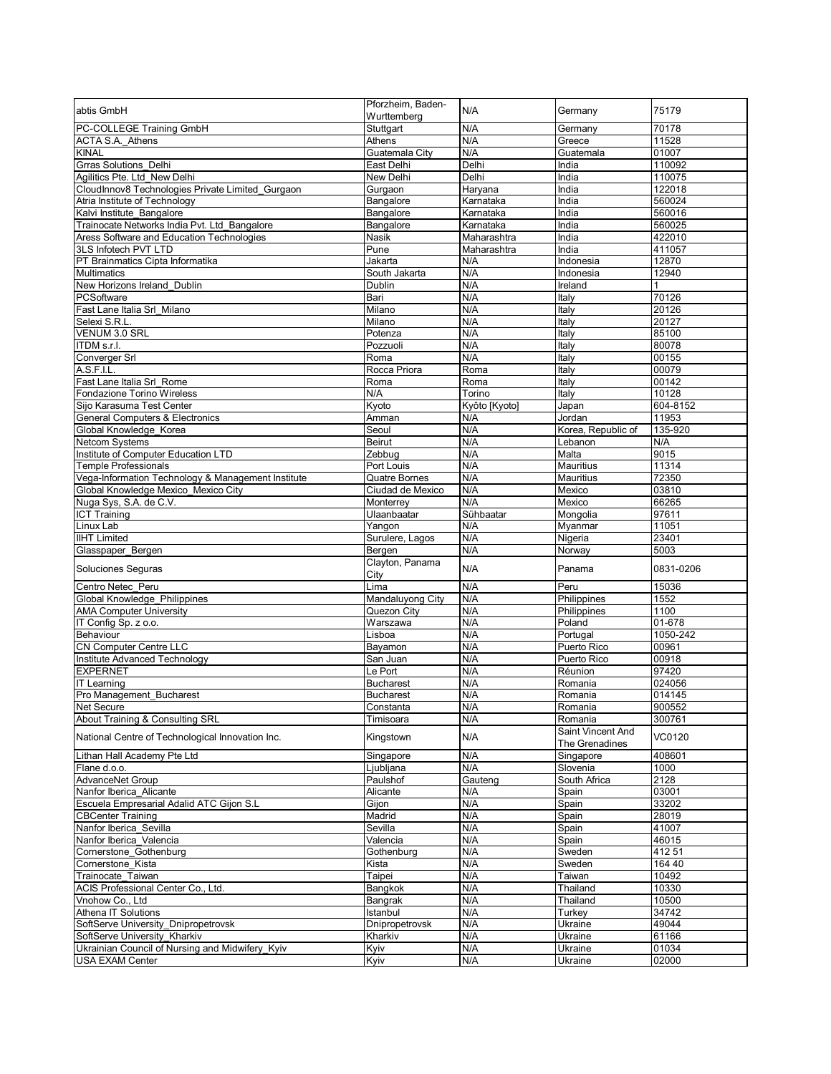| abtis GmbH                                                                | Pforzheim, Baden-<br>Wurttemberg | N/A                | Germany                      | 75179           |
|---------------------------------------------------------------------------|----------------------------------|--------------------|------------------------------|-----------------|
| PC-COLLEGE Training GmbH                                                  | Stuttgart                        | N/A                | Germany                      | 70178           |
| ACTA S.A. Athens                                                          | Athens                           | N/A                | Greece                       | 11528           |
| <b>KINAL</b>                                                              | Guatemala City                   | N/A                | Guatemala                    | 01007           |
| <b>Grras Solutions Delhi</b>                                              | East Delhi                       | Delhi              | India                        | 110092          |
| Agilitics Pte. Ltd New Delhi                                              | New Delhi                        | Delhi              | India                        | 110075          |
| CloudInnov8 Technologies Private Limited_Gurgaon                          | Gurgaon                          | Haryana            | India                        | 122018          |
| Atria Institute of Technology                                             | Bangalore                        | Karnataka          | India                        | 560024          |
| Kalvi Institute Bangalore                                                 | Bangalore                        | Karnataka          | India                        | 560016          |
| Trainocate Networks India Pvt. Ltd_Bangalore                              | Bangalore                        | Karnataka          | India                        | 560025          |
| Aress Software and Education Technologies                                 | Nasik                            | Maharashtra        | India                        | 422010          |
| 3LS Infotech PVT LTD<br>PT Brainmatics Cipta Informatika                  | Pune<br>Jakarta                  | Maharashtra<br>N/A | India<br>Indonesia           | 411057<br>12870 |
| Multimatics                                                               | South Jakarta                    | N/A                | Indonesia                    | 12940           |
| New Horizons Ireland Dublin                                               | Dublin                           | N/A                | Ireland                      | $\mathbf{1}$    |
| PCSoftware                                                                | Bari                             | N/A                | Italy                        | 70126           |
| Fast Lane Italia Srl Milano                                               | Milano                           | N/A                | Italy                        | 20126           |
| Selexi S.R.L                                                              | Milano                           | N/A                | Italy                        | 20127           |
| VENUM 3.0 SRL                                                             | Potenza                          | N/A                | Italy                        | 85100           |
| ITDM s.r.l.                                                               | Pozzuoli                         | N/A                | Italy                        | 80078           |
| Converger Srl                                                             | Roma                             | N/A                | Italy                        | 00155           |
| A.S.F.I.L.                                                                | Rocca Priora                     | Roma               | Italy                        | 00079           |
| Fast Lane Italia Srl Rome                                                 | Roma                             | Roma               | Italy                        | 00142           |
| <b>Fondazione Torino Wireless</b>                                         | N/A                              | Torino             | Italy                        | 10128           |
| Sijo Karasuma Test Center                                                 | Kyoto                            | Kyôto [Kyoto]      | Japan                        | 604-8152        |
| <b>General Computers &amp; Electronics</b>                                | Amman                            | N/A                | Jordan                       | 11953           |
| Global Knowledge Korea                                                    | Seoul                            | N/A                | Korea, Republic of           | 135-920         |
| Netcom Systems                                                            | Beirut                           | N/A                | Lebanon                      | N/A             |
| Institute of Computer Education LTD<br><b>Temple Professionals</b>        | Zebbug<br>Port Louis             | N/A<br>N/A         | Malta<br>Mauritius           | 9015<br>11314   |
| Vega-Information Technology & Management Institute                        | Quatre Bornes                    | N/A                | <b>Mauritius</b>             | 72350           |
| Global Knowledge Mexico Mexico City                                       | Ciudad de Mexico                 | N/A                | Mexico                       | 03810           |
| Nuga Sys, S.A. de C.V.                                                    | Monterrey                        | N/A                | Mexico                       | 66265           |
| <b>ICT Training</b>                                                       | Ulaanbaatar                      | Sühbaatar          | Mongolia                     | 97611           |
| Linux Lab                                                                 | Yangon                           | N/A                | Myanmar                      | 11051           |
|                                                                           |                                  |                    |                              |                 |
| <b>IIHT Limited</b>                                                       |                                  | N/A                |                              | 23401           |
| Glasspaper Bergen                                                         | Surulere, Lagos<br>Bergen        | N/A                | Nigeria<br>Norway            | 5003            |
| Soluciones Seguras                                                        | Clayton, Panama                  | N/A                | Panama                       | 0831-0206       |
|                                                                           | City                             |                    |                              |                 |
| Centro Netec Peru                                                         | Lima                             | N/A<br>N/A         | Peru                         | 15036<br>1552   |
| Global Knowledge_Philippines<br><b>AMA Computer University</b>            | Mandaluyong City<br>Quezon City  |                    | Philippines                  | 1100            |
| IT Config Sp. z o.o.                                                      | Warszawa                         | N/A<br>N/A         | Philippines<br>Poland        | $01 - 678$      |
| Behaviour                                                                 | Lisboa                           | N/A                | Portugal                     | 1050-242        |
| <b>CN Computer Centre LLC</b>                                             | Bayamon                          | N/A                | Puerto Rico                  | 00961           |
| Institute Advanced Technology                                             | San Juan                         | N/A                | Puerto Rico                  | 00918           |
| <b>EXPERNET</b>                                                           | Le Port                          | N/A                | Réunion                      | 97420           |
| <b>IT Learning</b>                                                        | <b>Bucharest</b>                 | N/A                | Romania                      | 024056          |
| Pro Management Bucharest                                                  | <b>Bucharest</b>                 | N/A                | Romania                      | 014145          |
| Net Secure                                                                | Constanta                        | N/A                | Romania                      | 900552          |
| About Training & Consulting SRL                                           | Timisoara                        | N/A                | Romania<br>Saint Vincent And | 300761          |
| National Centre of Technological Innovation Inc.                          | Kingstown                        | N/A                | The Grenadines               | VC0120          |
| Lithan Hall Academy Pte Ltd                                               | Singapore                        | N/A                | Singapore                    | 408601          |
| Flane d.o.o.                                                              | Ljubljana                        | N/A                | Slovenia                     | 1000            |
| AdvanceNet Group                                                          | Paulshof                         | Gauteng            | South Africa                 | 2128            |
| Nanfor Iberica Alicante                                                   | Alicante                         | N/A                | Spain                        | 03001           |
| Escuela Empresarial Adalid ATC Gijon S.L                                  | Gijon                            | N/A                | Spain                        | 33202           |
| <b>CBCenter Training</b>                                                  | Madrid                           | N/A                | Spain                        | 28019           |
| Nanfor Iberica Sevilla                                                    | Sevilla                          | N/A                | Spain                        | 41007           |
| Nanfor Iberica_Valencia                                                   | Valencia                         | N/A                | Spain                        | 46015           |
| Cornerstone_Gothenburg                                                    | Gothenburg                       | N/A<br>N/A         | Sweden<br>Sweden             | 41251<br>164 40 |
| Cornerstone Kista<br>Trainocate Taiwan                                    | Kista<br>Taipei                  | N/A                | Taiwan                       | 10492           |
| ACIS Professional Center Co., Ltd.                                        | Bangkok                          | N/A                | Thailand                     | 10330           |
| Vnohow Co., Ltd                                                           | Bangrak                          | N/A                | Thailand                     | 10500           |
| Athena IT Solutions                                                       | Istanbul                         | N/A                | Turkey                       | 34742           |
| SoftServe University Dnipropetrovsk                                       | Dnipropetrovsk                   | N/A                | Ukraine                      | 49044           |
| SoftServe University Kharkiv                                              | Kharkiv                          | N/A                | Ukraine                      | 61166           |
| Ukrainian Council of Nursing and Midwifery Kyiv<br><b>USA EXAM Center</b> | Kyiv<br>Kyiv                     | N/A<br>N/A         | Ukraine<br>Ukraine           | 01034<br>02000  |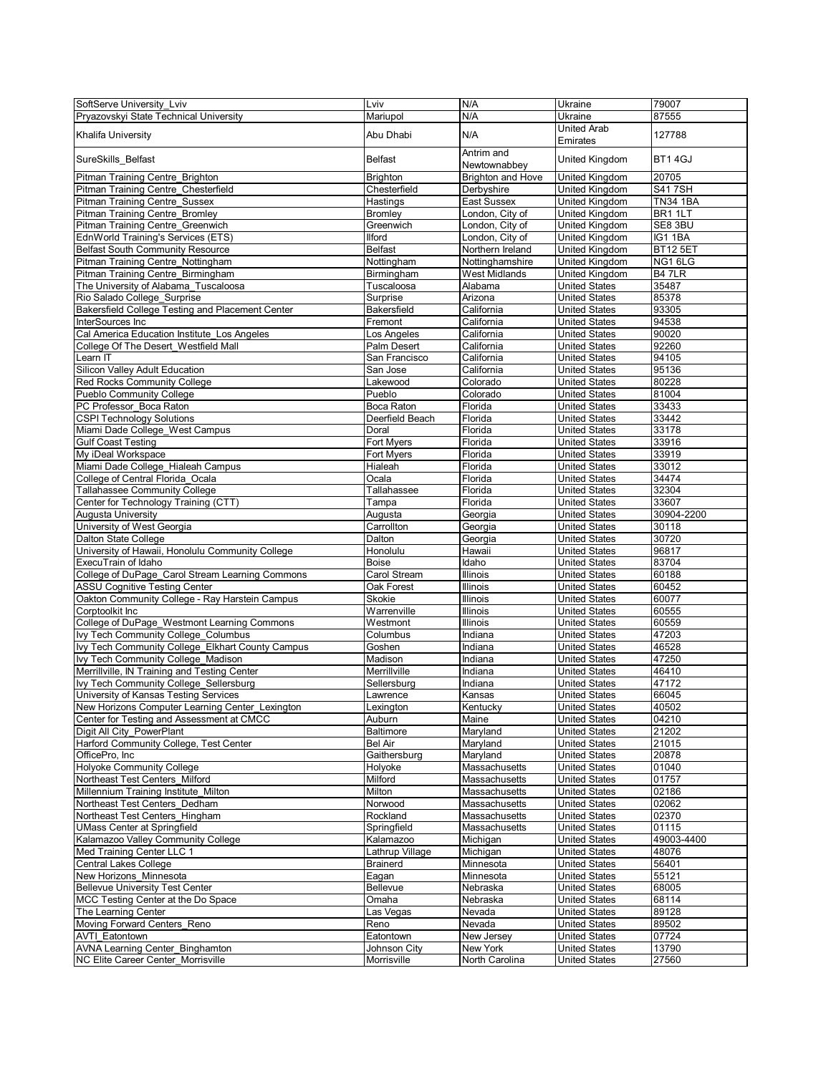| SoftServe University Lviv                        | Lviv            | N/A                      | Ukraine               | 79007           |
|--------------------------------------------------|-----------------|--------------------------|-----------------------|-----------------|
|                                                  |                 |                          |                       |                 |
| Pryazovskyi State Technical University           | Mariupol        | N/A                      | Ukraine               | 87555           |
|                                                  | Abu Dhabi       | N/A                      | United Arab           | 127788          |
| Khalifa University                               |                 |                          | Emirates              |                 |
|                                                  |                 | Antrim and               |                       |                 |
| SureSkills_Belfast                               | <b>Belfast</b>  |                          | United Kingdom        | BT14GJ          |
|                                                  |                 | Newtownabbey             |                       |                 |
| Pitman Training Centre Brighton                  | <b>Brighton</b> | <b>Brighton and Hove</b> | United Kingdom        | 20705           |
| Pitman Training Centre Chesterfield              | Chesterfield    | Derbyshire               | United Kingdom        | <b>S417SH</b>   |
|                                                  |                 |                          |                       |                 |
| <b>Pitman Training Centre Sussex</b>             | Hastings        | <b>East Sussex</b>       | United Kingdom        | <b>TN34 1BA</b> |
| <b>Pitman Training Centre Bromley</b>            | Bromley         | London, City of          | United Kingdom        | BR1 1LT         |
| Pitman Training Centre Greenwich                 | Greenwich       | London, City of          | United Kingdom        | SE8 3BU         |
|                                                  |                 |                          |                       |                 |
| EdnWorld Training's Services (ETS)               | <b>Ilford</b>   | London, City of          | United Kingdom        | IG1 1BA         |
| <b>Belfast South Community Resource</b>          | <b>Belfast</b>  | Northern Ireland         | United Kingdom        | <b>BT12 5ET</b> |
| Pitman Training Centre Nottingham                | Nottingham      | Nottinghamshire          | United Kingdom        | NG16LG          |
|                                                  |                 |                          |                       |                 |
| Pitman Training Centre_Birmingham                | Birmingham      | West Midlands            | <b>United Kingdom</b> | B47LR           |
| The University of Alabama Tuscaloosa             | Tuscaloosa      | Alabama                  | <b>United States</b>  | 35487           |
| Rio Salado College Surprise                      | Surprise        | Arizona                  | <b>United States</b>  | 85378           |
|                                                  |                 |                          |                       |                 |
| Bakersfield College Testing and Placement Center | Bakersfield     | California               | <b>United States</b>  | 93305           |
| InterSources Inc                                 | Fremont         | California               | <b>United States</b>  | 94538           |
| Cal America Education Institute Los Angeles      | Los Angeles     | California               | <b>United States</b>  | 90020           |
|                                                  |                 |                          |                       |                 |
| College Of The Desert Westfield Mall             | Palm Desert     | California               | <b>United States</b>  | 92260           |
| Learn IT                                         | San Francisco   | California               | <b>United States</b>  | 94105           |
| Silicon Valley Adult Education                   | San Jose        | California               | <b>United States</b>  | 95136           |
|                                                  |                 |                          |                       |                 |
| <b>Red Rocks Community College</b>               | Lakewood        | Colorado                 | <b>United States</b>  | 80228           |
| <b>Pueblo Community College</b>                  | Pueblo          | Colorado                 | <b>United States</b>  | 81004           |
| PC Professor Boca Raton                          | Boca Raton      | Florida                  | <b>United States</b>  | 33433           |
|                                                  |                 |                          |                       |                 |
| <b>CSPI Technology Solutions</b>                 | Deerfield Beach | Florida                  | <b>United States</b>  | 33442           |
| Miami Dade College_West Campus                   | Doral           | Florida                  | <b>United States</b>  | 33178           |
| <b>Gulf Coast Testing</b>                        | Fort Myers      | Florida                  | <b>United States</b>  | 33916           |
|                                                  |                 |                          |                       |                 |
| My iDeal Workspace                               | Fort Myers      | Florida                  | <b>United States</b>  | 33919           |
| Miami Dade College_Hialeah Campus                | Hialeah         | Florida                  | <b>United States</b>  | 33012           |
| College of Central Florida Ocala                 | Ocala           | Florida                  | <b>United States</b>  | 34474           |
|                                                  |                 |                          |                       |                 |
| <b>Tallahassee Community College</b>             | Tallahassee     | Florida                  | <b>United States</b>  | 32304           |
| Center for Technology Training (CTT)             | Tampa           | Florida                  | <b>United States</b>  | 33607           |
| Augusta University                               | Augusta         | Georgia                  | <b>United States</b>  | 30904-2200      |
|                                                  |                 |                          |                       |                 |
| University of West Georgia                       | Carrollton      | Georgia                  | <b>United States</b>  | 30118           |
| Dalton State College                             | Dalton          | Georgia                  | <b>United States</b>  | 30720           |
| University of Hawaii, Honolulu Community College | Honolulu        | Hawaii                   | <b>United States</b>  | 96817           |
|                                                  |                 |                          |                       |                 |
| ExecuTrain of Idaho                              | Boise           | Idaho                    | <b>United States</b>  | 83704           |
| College of DuPage Carol Stream Learning Commons  | Carol Stream    | Illinois                 | <b>United States</b>  | 60188           |
| <b>ASSU Cognitive Testing Center</b>             | Oak Forest      | Illinois                 | <b>United States</b>  | 60452           |
|                                                  |                 |                          |                       |                 |
| Oakton Community College - Ray Harstein Campus   | Skokie          | Illinois                 | <b>United States</b>  | 60077           |
| Corptoolkit Inc                                  | Warrenville     | Illinois                 | <b>United States</b>  | 60555           |
| College of DuPage Westmont Learning Commons      | Westmont        | Illinois                 | <b>United States</b>  | 60559           |
|                                                  |                 |                          |                       |                 |
| Ivy Tech Community College Columbus              | Columbus        | Indiana                  | <b>United States</b>  | 47203           |
| Ivy Tech Community College_Elkhart County Campus | Goshen          | Indiana                  | <b>United States</b>  | 46528           |
| Ivy Tech Community College Madison               | Madison         | Indiana                  | <b>United States</b>  | 47250           |
|                                                  |                 |                          |                       |                 |
| Merrillville, IN Training and Testing Center     | Merrillville    | Indiana                  | <b>United States</b>  | 46410           |
| Ivy Tech Community College Sellersburg           | Sellersburg     | Indiana                  | <b>United States</b>  | 47172           |
| University of Kansas Testing Services            | Lawrence        | Kansas                   | <b>United States</b>  | 66045           |
|                                                  |                 |                          |                       |                 |
| New Horizons Computer Learning Center_Lexington  | Lexington       | Kentucky                 | United States         | 40502           |
| Center for Testing and Assessment at CMCC        | Auburn          | Maine                    | <b>United States</b>  | 04210           |
| Digit All City PowerPlant                        | Baltimore       | Maryland                 | <b>United States</b>  | 21202           |
| Harford Community College, Test Center           |                 |                          |                       |                 |
|                                                  | Bel Air         | Maryland                 | <b>United States</b>  | 21015           |
| OfficePro, Inc                                   | Gaithersburg    | Maryland                 | United States         | 20878           |
| <b>Holyoke Community College</b>                 | Holyoke         | Massachusetts            | <b>United States</b>  | 01040           |
|                                                  |                 |                          |                       | 01757           |
| Northeast Test Centers Milford                   | Milford         | Massachusetts            | <b>United States</b>  |                 |
| Millennium Training Institute Milton             | Milton          | Massachusetts            | <b>United States</b>  | 02186           |
| Northeast Test Centers Dedham                    | Norwood         | Massachusetts            | <b>United States</b>  | 02062           |
|                                                  |                 |                          |                       |                 |
| Northeast Test Centers Hingham                   | Rockland        | Massachusetts            | <b>United States</b>  | 02370           |
| <b>UMass Center at Springfield</b>               | Springfield     | <b>Massachusetts</b>     | <b>United States</b>  | 01115           |
| Kalamazoo Valley Community College               | Kalamazoo       | Michigan                 | <b>United States</b>  | 49003-4400      |
|                                                  |                 |                          |                       |                 |
| Med Training Center LLC 1                        | Lathrup Village | Michigan                 | <b>United States</b>  | 48076           |
| <b>Central Lakes College</b>                     | <b>Brainerd</b> | Minnesota                | <b>United States</b>  | 56401           |
| New Horizons Minnesota                           | Eagan           | Minnesota                | <b>United States</b>  | 55121           |
|                                                  |                 |                          |                       |                 |
| <b>Bellevue University Test Center</b>           | Bellevue        | Nebraska                 | <b>United States</b>  | 68005           |
| MCC Testing Center at the Do Space               | Omaha           | Nebraska                 | <b>United States</b>  | 68114           |
| The Learning Center                              | Las Vegas       | Nevada                   | <b>United States</b>  | 89128           |
|                                                  |                 |                          |                       |                 |
| Moving Forward Centers Reno                      | Reno            | Nevada                   | <b>United States</b>  | 89502           |
| <b>AVTI Eatontown</b>                            | Eatontown       | New Jersey               | <b>United States</b>  | 07724           |
| <b>AVNA Learning Center Binghamton</b>           | Johnson City    | New York                 | <b>United States</b>  | 13790           |
|                                                  |                 |                          |                       |                 |
| NC Elite Career Center Morrisville               | Morrisville     | North Carolina           | United States         | 27560           |